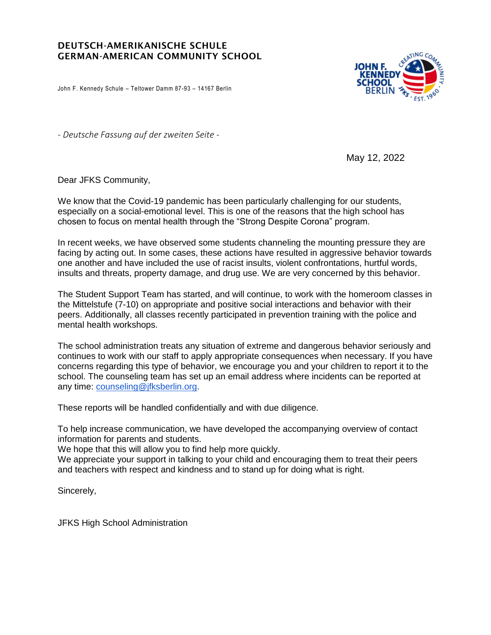## DEUTSCH-AMERIKANISCHE SCHULE GERMAN-AMERICAN COMMUNITY SCHOOL

John F. Kennedy Schule – Teltower Damm 87-93 – 14167 Berlin



*- Deutsche Fassung auf der zweiten Seite -*

May 12, 2022

Dear JFKS Community,

We know that the Covid-19 pandemic has been particularly challenging for our students, especially on a social-emotional level. This is one of the reasons that the high school has chosen to focus on mental health through the "Strong Despite Corona" program.

In recent weeks, we have observed some students channeling the mounting pressure they are facing by acting out. In some cases, these actions have resulted in aggressive behavior towards one another and have included the use of racist insults, violent confrontations, hurtful words, insults and threats, property damage, and drug use. We are very concerned by this behavior.

The Student Support Team has started, and will continue, to work with the homeroom classes in the Mittelstufe (7-10) on appropriate and positive social interactions and behavior with their peers. Additionally, all classes recently participated in prevention training with the police and mental health workshops.

The school administration treats any situation of extreme and dangerous behavior seriously and continues to work with our staff to apply appropriate consequences when necessary. If you have concerns regarding this type of behavior, we encourage you and your children to report it to the school. The counseling team has set up an email address where incidents can be reported at any time: [counseling@jfksberlin.org.](mailto:counseling@jfksberlin.org)

These reports will be handled confidentially and with due diligence.

To help increase communication, we have developed the accompanying overview of contact information for parents and students.

We hope that this will allow you to find help more quickly.

We appreciate your support in talking to your child and encouraging them to treat their peers and teachers with respect and kindness and to stand up for doing what is right.

Sincerely,

JFKS High School Administration